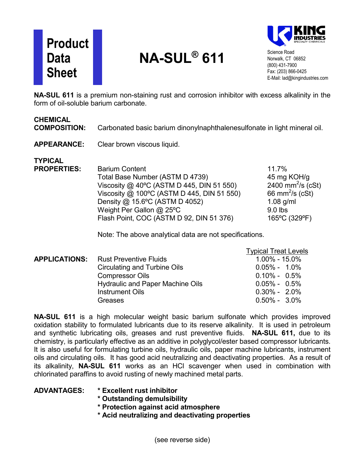# **Product Data Sheet**

# **NA-SUL® 611**



Science Road Norwalk, CT 06852 (800) 431-7900 Fax: (203) 866-0425 E-Mail: lad@kingindustries.com

**NA-SUL 611** is a premium non-staining rust and corrosion inhibitor with excess alkalinity in the form of oil-soluble barium carbonate.

#### **CHEMICAL**

**COMPOSITION:** Carbonated basic barium dinonylnaphthalenesulfonate in light mineral oil.

#### **APPEARANCE:** Clear brown viscous liquid.

**TYPICAL Parium Content 11.7%** Total Base Number (ASTM D 4739) 45 mg KOH/g Viscosity  $@$  40°C (ASTM D 445, DIN 51 550) 2400 mm<sup>2</sup>/s  $(cSt)$ Viscosity  $@$  100°C (ASTM D 445, DIN 51 550) 66 mm<sup>2</sup>/s (cSt) Density  $@$  15.6°C (ASTM D 4052) 1.08 g/ml Weight Per Gallon @ 25°C 9.0 lbs Flash Point, COC (ASTM D 92, DIN 51 376) 165 °C (329 °F)

Note: The above analytical data are not specifications.

|  |                                             | <b>Typical Treat Levels</b> |
|--|---------------------------------------------|-----------------------------|
|  | <b>APPLICATIONS:</b> Rust Preventive Fluids | $1.00\% - 15.0\%$           |
|  | Circulating and Turbine Oils                | $0.05\% - 1.0\%$            |
|  | <b>Compressor Oils</b>                      | $0.10\% - 0.5\%$            |
|  | <b>Hydraulic and Paper Machine Oils</b>     | $0.05\% - 0.5\%$            |
|  | <b>Instrument Oils</b>                      | $0.30\% - 2.0\%$            |
|  | <b>Greases</b>                              | $0.50\% - 3.0\%$            |

**NA-SUL 611** is a high molecular weight basic barium sulfonate which provides improved oxidation stability to formulated lubricants due to its reserve alkalinity. It is used in petroleum and synthetic lubricating oils, greases and rust preventive fluids. **NA-SUL 611,** due to its chemistry, is particularly effective as an additive in polyglycol/ester based compressor lubricants. It is also useful for formulating turbine oils, hydraulic oils, paper machine lubricants, instrument oils and circulating oils. It has good acid neutralizing and deactivating properties. As a result of its alkalinity, **NA-SUL 611** works as an HCl scavenger when used in combination with chlorinated paraffins to avoid rusting of newly machined metal parts.

### **ADVANTAGES: \* Excellent rust inhibitor**

- **\* Outstanding demulsibility**
- **\* Protection against acid atmosphere**
- **\* Acid neutralizing and deactivating properties**